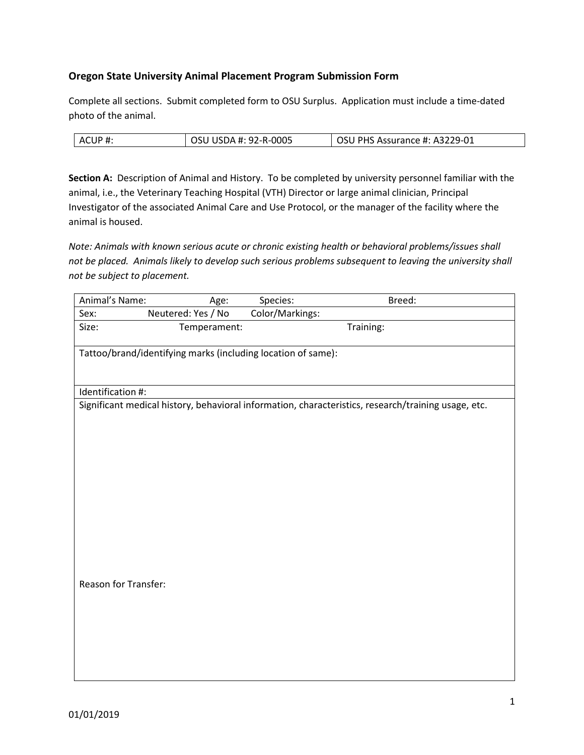# **Oregon State University Animal Placement Program Submission Form**

Complete all sections. Submit completed form to OSU Surplus. Application must include a time-dated photo of the animal.

| ACUP# | OSU USDA #: 92-R-0005 | OSU PHS Assurance #: A3229-01 |
|-------|-----------------------|-------------------------------|

**Section A:** Description of Animal and History. To be completed by university personnel familiar with the animal, i.e., the Veterinary Teaching Hospital (VTH) Director or large animal clinician, Principal Investigator of the associated Animal Care and Use Protocol, or the manager of the facility where the animal is housed.

*Note: Animals with known serious acute or chronic existing health or behavioral problems/issues shall not be placed. Animals likely to develop such serious problems subsequent to leaving the university shall not be subject to placement.* 

| Animal's Name:       | Age:                                                         | Species:        | Breed:                                                                                              |  |
|----------------------|--------------------------------------------------------------|-----------------|-----------------------------------------------------------------------------------------------------|--|
| Sex:                 | Neutered: Yes / No                                           | Color/Markings: |                                                                                                     |  |
| Size:                | Temperament:                                                 |                 | Training:                                                                                           |  |
|                      |                                                              |                 |                                                                                                     |  |
|                      | Tattoo/brand/identifying marks (including location of same): |                 |                                                                                                     |  |
|                      |                                                              |                 |                                                                                                     |  |
| Identification #:    |                                                              |                 |                                                                                                     |  |
|                      |                                                              |                 | Significant medical history, behavioral information, characteristics, research/training usage, etc. |  |
|                      |                                                              |                 |                                                                                                     |  |
|                      |                                                              |                 |                                                                                                     |  |
|                      |                                                              |                 |                                                                                                     |  |
|                      |                                                              |                 |                                                                                                     |  |
|                      |                                                              |                 |                                                                                                     |  |
|                      |                                                              |                 |                                                                                                     |  |
|                      |                                                              |                 |                                                                                                     |  |
|                      |                                                              |                 |                                                                                                     |  |
|                      |                                                              |                 |                                                                                                     |  |
|                      |                                                              |                 |                                                                                                     |  |
|                      |                                                              |                 |                                                                                                     |  |
| Reason for Transfer: |                                                              |                 |                                                                                                     |  |
|                      |                                                              |                 |                                                                                                     |  |
|                      |                                                              |                 |                                                                                                     |  |
|                      |                                                              |                 |                                                                                                     |  |
|                      |                                                              |                 |                                                                                                     |  |
|                      |                                                              |                 |                                                                                                     |  |
|                      |                                                              |                 |                                                                                                     |  |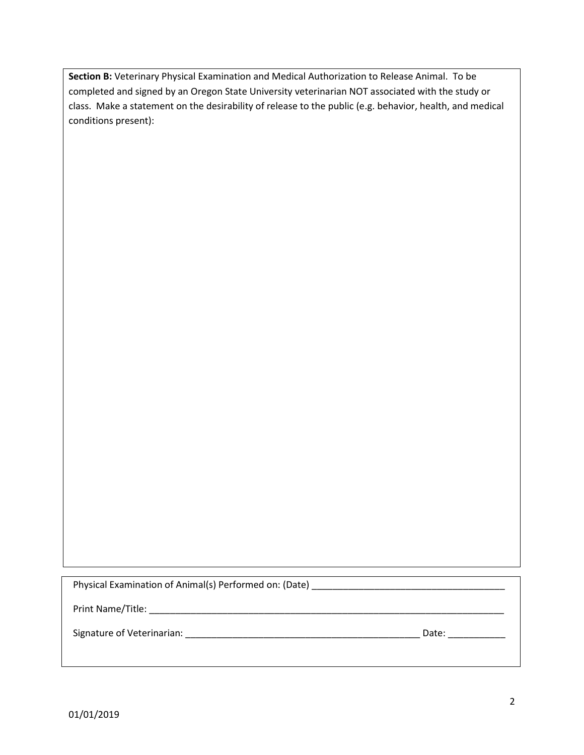**Section B:** Veterinary Physical Examination and Medical Authorization to Release Animal. To be completed and signed by an Oregon State University veterinarian NOT associated with the study or class. Make a statement on the desirability of release to the public (e.g. behavior, health, and medical conditions present):

Physical Examination of Animal(s) Performed on: (Date) \_\_\_\_\_\_\_\_\_\_\_\_\_\_\_\_\_\_\_\_\_\_\_\_\_\_\_\_\_\_\_\_\_\_\_\_\_

Print Name/Title: \_\_\_\_\_\_\_\_\_\_\_\_\_\_\_\_\_\_\_\_\_\_\_\_\_\_\_\_\_\_\_\_\_\_\_\_\_\_\_\_\_\_\_\_\_\_\_\_\_\_\_\_\_\_\_\_\_\_\_\_\_\_\_\_\_\_\_\_

Signature of Veterinarian: \_\_\_\_\_\_\_\_\_\_\_\_\_\_\_\_\_\_\_\_\_\_\_\_\_\_\_\_\_\_\_\_\_\_\_\_\_\_\_\_\_\_\_\_\_ Date: \_\_\_\_\_\_\_\_\_\_\_